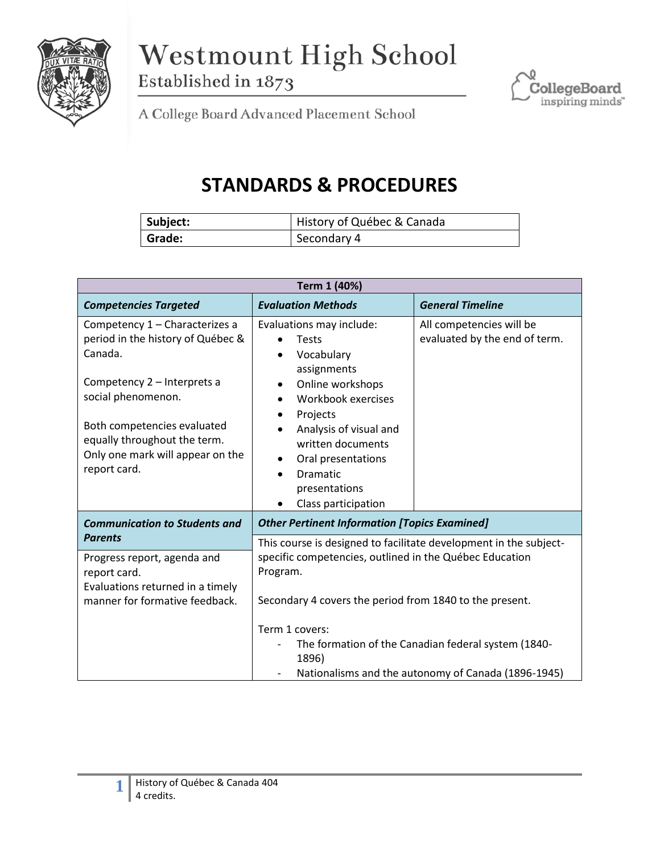

Westmount High School Established in 1873



A College Board Advanced Placement School

## **STANDARDS & PROCEDURES**

| Subject: | History of Québec & Canada |
|----------|----------------------------|
| Grade:   | Secondary 4                |

| Term 1 (40%)                                                                                                    |                                                                                                                                    |                                                           |  |
|-----------------------------------------------------------------------------------------------------------------|------------------------------------------------------------------------------------------------------------------------------------|-----------------------------------------------------------|--|
| <b>Competencies Targeted</b>                                                                                    | <b>Evaluation Methods</b>                                                                                                          | <b>General Timeline</b>                                   |  |
| Competency 1 - Characterizes a<br>period in the history of Québec &<br>Canada.                                  | Evaluations may include:<br><b>Tests</b><br>Vocabulary<br>assignments                                                              | All competencies will be<br>evaluated by the end of term. |  |
| Competency 2 - Interprets a<br>social phenomenon.                                                               | Online workshops<br>Workbook exercises<br>$\bullet$<br>Projects                                                                    |                                                           |  |
| Both competencies evaluated<br>equally throughout the term.<br>Only one mark will appear on the<br>report card. | Analysis of visual and<br>written documents<br>Oral presentations<br>Dramatic<br>presentations<br>Class participation<br>$\bullet$ |                                                           |  |
| <b>Communication to Students and</b>                                                                            | <b>Other Pertinent Information [Topics Examined]</b>                                                                               |                                                           |  |
| <b>Parents</b>                                                                                                  | This course is designed to facilitate development in the subject-                                                                  |                                                           |  |
| Progress report, agenda and<br>report card.<br>Evaluations returned in a timely                                 | specific competencies, outlined in the Québec Education<br>Program.                                                                |                                                           |  |
| manner for formative feedback.                                                                                  | Secondary 4 covers the period from 1840 to the present.                                                                            |                                                           |  |
|                                                                                                                 | Term 1 covers:<br>The formation of the Canadian federal system (1840-<br>1896)                                                     |                                                           |  |
|                                                                                                                 |                                                                                                                                    |                                                           |  |
|                                                                                                                 |                                                                                                                                    | Nationalisms and the autonomy of Canada (1896-1945)       |  |

**1**